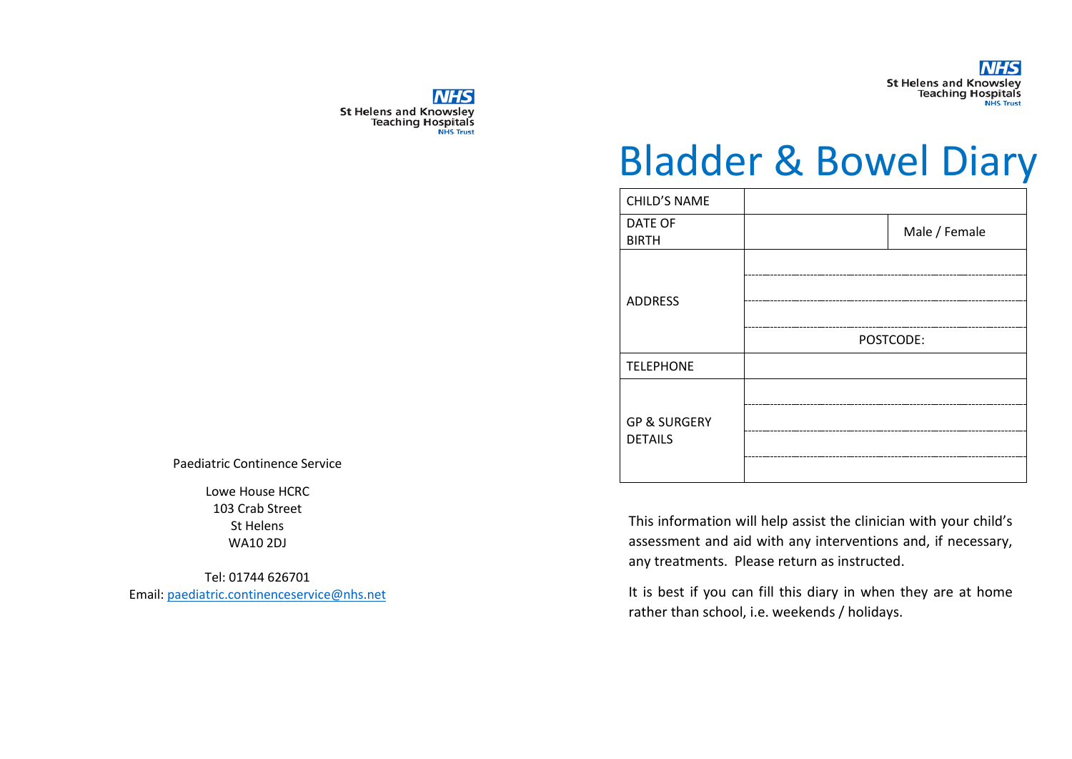

**NHS St Helens and Knowsley** Teaching Hospitals

# Bladder & Bowel Diary

| Male / Female |
|---------------|
|               |
|               |
| POSTCODE:     |
|               |
|               |
|               |
|               |

This information will help assist the clinician with your child's assessment and aid with any interventions and, if necessary, any treatments. Please return as instructed.

It is best if you can fill this diary in when they are at home rather than school, i.e. weekends / holidays.

Paediatric Continence Service

Lowe House HCRC 103 Crab Street St Helens WA10 2DJ

Tel: 01744 626701 Email: [paediatric.continenceservice@nhs.net](mailto:paediatric.continenceservice@nhs.net)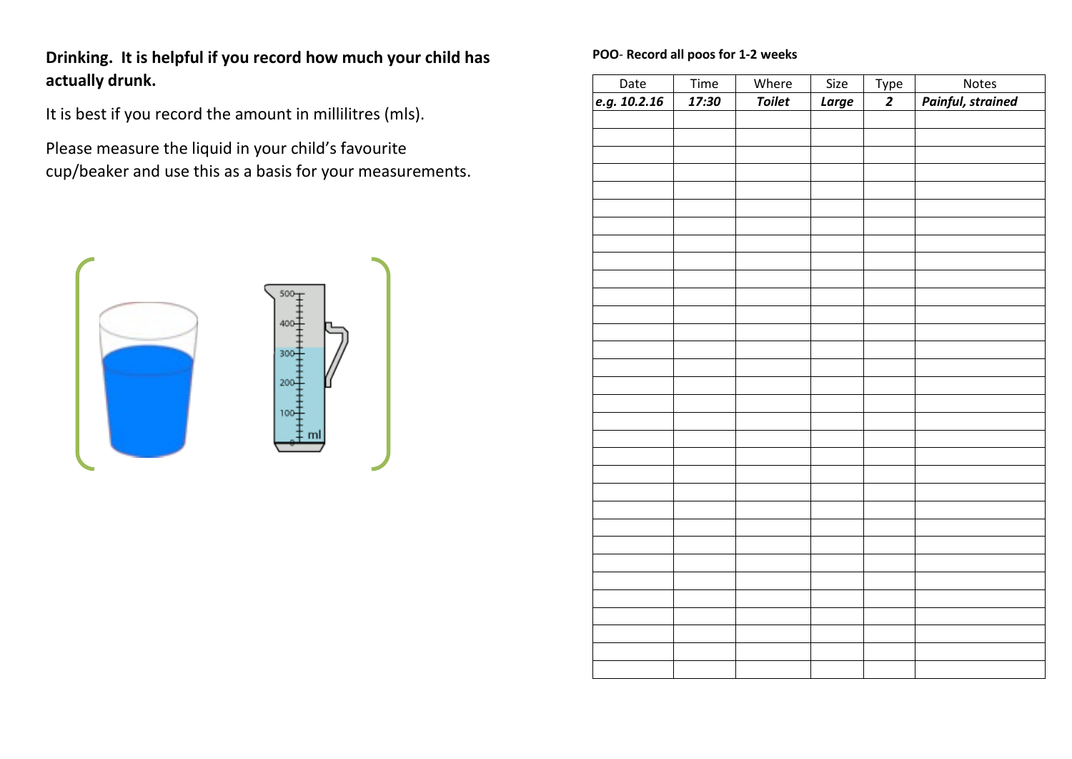**Drinking. It is helpful if you record how much your child has actually drunk.**

It is best if you record the amount in millilitres (mls).

Please measure the liquid in your child's favourite cup/beaker and use this as a basis for your measurements.



#### **POO**- **Record all poos for 1-2 weeks**

| Date         | Time  | Where         | Size  |                |                                   |
|--------------|-------|---------------|-------|----------------|-----------------------------------|
| e.g. 10.2.16 | 17:30 | <b>Toilet</b> | Large | $rac{Type}{2}$ | Notes<br><b>Painful, strained</b> |
|              |       |               |       |                |                                   |
|              |       |               |       |                |                                   |
|              |       |               |       |                |                                   |
|              |       |               |       |                |                                   |
|              |       |               |       |                |                                   |
|              |       |               |       |                |                                   |
|              |       |               |       |                |                                   |
|              |       |               |       |                |                                   |
|              |       |               |       |                |                                   |
|              |       |               |       |                |                                   |
|              |       |               |       |                |                                   |
|              |       |               |       |                |                                   |
|              |       |               |       |                |                                   |
|              |       |               |       |                |                                   |
|              |       |               |       |                |                                   |
|              |       |               |       |                |                                   |
|              |       |               |       |                |                                   |
|              |       |               |       |                |                                   |
|              |       |               |       |                |                                   |
|              |       |               |       |                |                                   |
|              |       |               |       |                |                                   |
|              |       |               |       |                |                                   |
|              |       |               |       |                |                                   |
|              |       |               |       |                |                                   |
|              |       |               |       |                |                                   |
|              |       |               |       |                |                                   |
|              |       |               |       |                |                                   |
|              |       |               |       |                |                                   |
|              |       |               |       |                |                                   |
|              |       |               |       |                |                                   |
|              |       |               |       |                |                                   |
|              |       |               |       |                |                                   |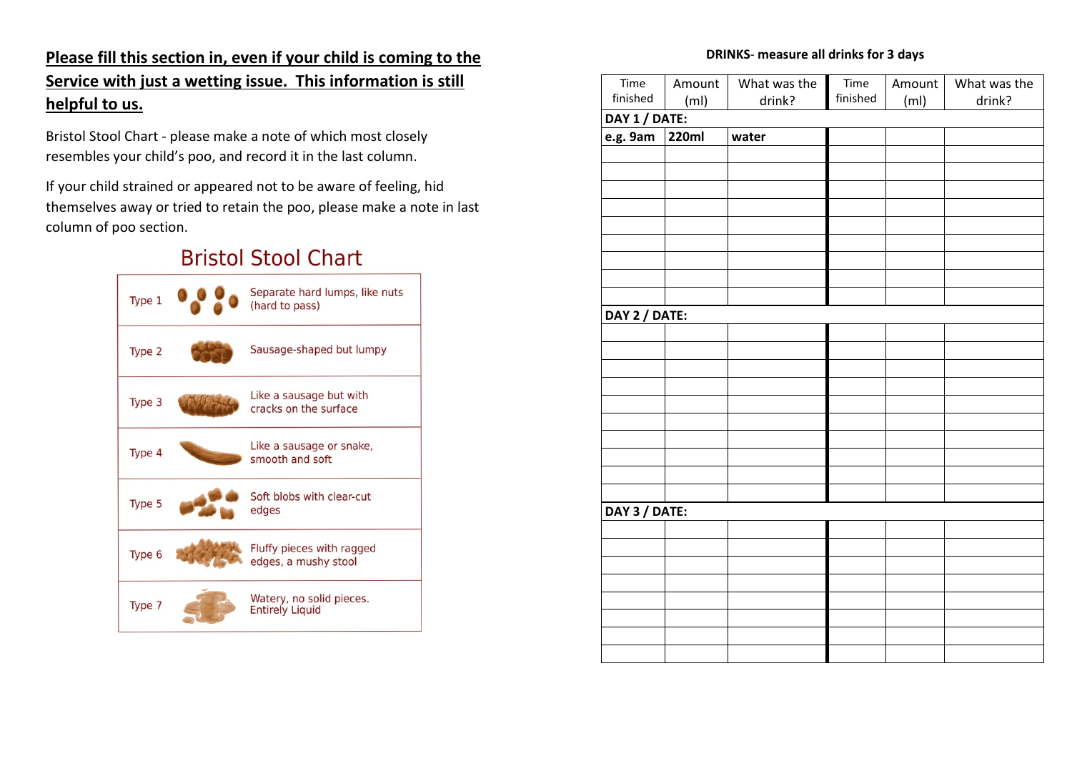### **Please fill this section in, even if your child is coming to the Service with just a wetting issue. This information is still helpful to us.**

Bristol Stool Chart - please make a note of which most closely resembles your child's poo, and record it in the last column.

If your child strained or appeared not to be aware of feeling, hid themselves away or tried to retain the poo, please make a note in last column of poo section.

## **Bristol Stool Chart**



#### **DRINKS**- **measure all drinks for 3 days**

| Time          | Amount            | What was the | Time     | Amount            | What was the |  |
|---------------|-------------------|--------------|----------|-------------------|--------------|--|
| finished      | (m <sub>l</sub> ) | drink?       | finished | (m <sub>l</sub> ) | drink?       |  |
| DAY 1 / DATE: |                   |              |          |                   |              |  |
| e.g. 9am      | <b>220ml</b>      | water        |          |                   |              |  |
|               |                   |              |          |                   |              |  |
|               |                   |              |          |                   |              |  |
|               |                   |              |          |                   |              |  |
|               |                   |              |          |                   |              |  |
|               |                   |              |          |                   |              |  |
|               |                   |              |          |                   |              |  |
|               |                   |              |          |                   |              |  |
|               |                   |              |          |                   |              |  |
|               |                   |              |          |                   |              |  |
| DAY 2 / DATE: |                   |              |          |                   |              |  |
|               |                   |              |          |                   |              |  |
|               |                   |              |          |                   |              |  |
|               |                   |              |          |                   |              |  |
|               |                   |              |          |                   |              |  |
|               |                   |              |          |                   |              |  |
|               |                   |              |          |                   |              |  |
|               |                   |              |          |                   |              |  |
|               |                   |              |          |                   |              |  |
|               |                   |              |          |                   |              |  |
|               |                   |              |          |                   |              |  |
| DAY 3 / DATE: |                   |              |          |                   |              |  |
|               |                   |              |          |                   |              |  |
|               |                   |              |          |                   |              |  |
|               |                   |              |          |                   |              |  |
|               |                   |              |          |                   |              |  |
|               |                   |              |          |                   |              |  |
|               |                   |              |          |                   |              |  |
|               |                   |              |          |                   |              |  |
|               |                   |              |          |                   |              |  |